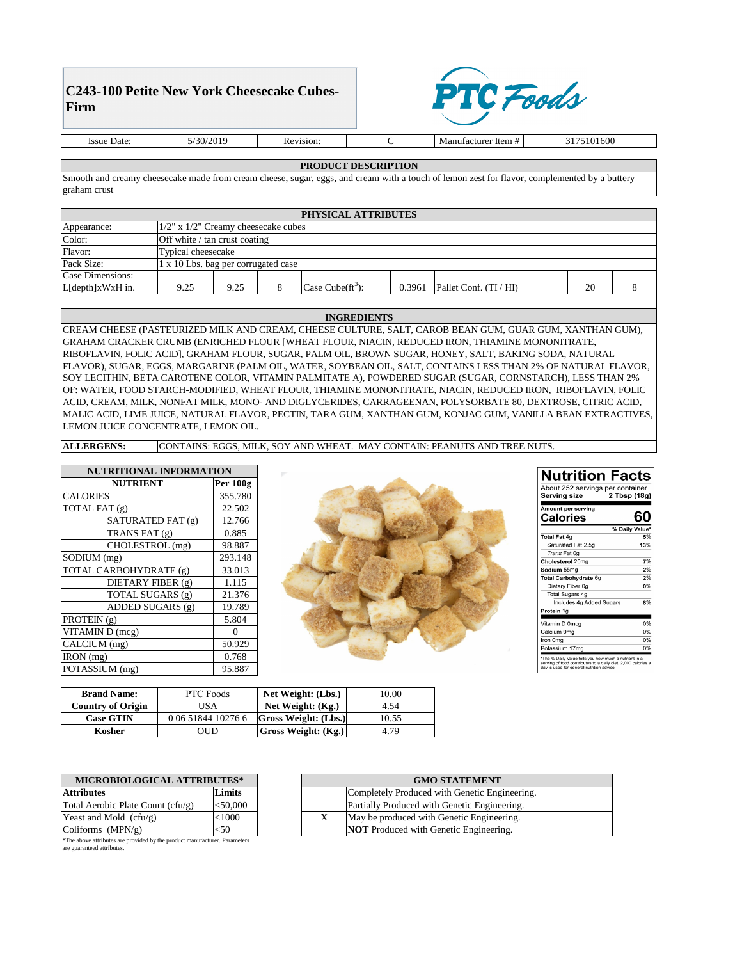| MICROBIOLOGICAL ATTRIBUTES*       |            |  |  |
|-----------------------------------|------------|--|--|
| <b>Attributes</b>                 | Limits     |  |  |
| Total Aerobic Plate Count (cfu/g) | $<$ 50,000 |  |  |
| Yeast and Mold $(cfu/g)$          | $<$ $1000$ |  |  |
| Coliforms $(MPN/g)$               |            |  |  |

| <b>MICROBIOLOGICAL ATTRIBUTES*</b> |             | <b>GMO STATEMENT</b> |                                               |  |
|------------------------------------|-------------|----------------------|-----------------------------------------------|--|
| ributes                            | Limits      |                      | Completely Produced with Genetic Engineering. |  |
| al Aerobic Plate Count $(cfu/g)$   | ${<}50,000$ |                      | Partially Produced with Genetic Engineering.  |  |
| ast and Mold $(cfu/g)$             | $<$ $1000$  |                      | May be produced with Genetic Engineering.     |  |
| liforms $(MPN/g)$                  | $<$ 50      |                      | <b>NOT</b> Produced with Genetic Engineering. |  |

## **PRODUCT DESCRIPTION**

## **INGREDIENTS**

| PHYSICAL ATTRIBUTES |                                           |      |  |                                          |        |                        |    |  |
|---------------------|-------------------------------------------|------|--|------------------------------------------|--------|------------------------|----|--|
| Appearance:         | $1/2$ " x $1/2$ " Creamy cheesecake cubes |      |  |                                          |        |                        |    |  |
| Color:              | Off white / tan crust coating             |      |  |                                          |        |                        |    |  |
| Flavor:             | Typical cheesecake                        |      |  |                                          |        |                        |    |  |
| Pack Size:          | 1 x 10 Lbs. bag per corrugated case       |      |  |                                          |        |                        |    |  |
| Case Dimensions:    |                                           |      |  |                                          |        |                        |    |  |
| L[depth]xWxH in.    | 9.25                                      | 9.25 |  | $\text{Case} \text{Cube}(\text{ft}^3)$ : | 0.3961 | Pallet Conf. $(TI/HI)$ | 20 |  |
|                     |                                           |      |  |                                          |        |                        |    |  |

CREAM CHEESE (PASTEURIZED MILK AND CREAM, CHEESE CULTURE, SALT, CAROB BEAN GUM, GUAR GUM, XANTHAN GUM), GRAHAM CRACKER CRUMB (ENRICHED FLOUR [WHEAT FLOUR, NIACIN, REDUCED IRON, THIAMINE MONONITRATE, RIBOFLAVIN, FOLIC ACID], GRAHAM FLOUR, SUGAR, PALM OIL, BROWN SUGAR, HONEY, SALT, BAKING SODA, NATURAL FLAVOR), SUGAR, EGGS, MARGARINE (PALM OIL, WATER, SOYBEAN OIL, SALT, CONTAINS LESS THAN 2% OF NATURAL FLAVOR, SOY LECITHIN, BETA CAROTENE COLOR, VITAMIN PALMITATE A), POWDERED SUGAR (SUGAR, CORNSTARCH), LESS THAN 2% OF: WATER, FOOD STARCH-MODIFIED, WHEAT FLOUR, THIAMINE MONONITRATE, NIACIN, REDUCED IRON, RIBOFLAVIN, FOLIC ACID, CREAM, MILK, NONFAT MILK, MONO- AND DIGLYCERIDES, CARRAGEENAN, POLYSORBATE 80, DEXTROSE, CITRIC ACID, MALIC ACID, LIME JUICE, NATURAL FLAVOR, PECTIN, TARA GUM, XANTHAN GUM, KONJAC GUM, VANILLA BEAN EXTRACTIVES, LEMON JUICE CONCENTRATE, LEMON OIL.

| <b>Brand Name:</b>       | <b>PTC</b> Foods   | Net Weight: (Lbs.)          | 10.00 |
|--------------------------|--------------------|-----------------------------|-------|
| <b>Country of Origin</b> | JSA                | Net Weight: $(Kg.)$         | 4.54  |
| <b>Case GTIN</b>         | 0 06 51844 10276 6 | <b>Gross Weight: (Lbs.)</b> | 10.55 |
| Kosher                   | OUD                | <b>Gross Weight: (Kg.)</b>  | 4.79  |

| NUTRITIONAL INFORMATION |                       |  |  |
|-------------------------|-----------------------|--|--|
| <b>NUTRIENT</b>         | <b>Per 100g</b>       |  |  |
| <b>CALORIES</b>         | 355.780               |  |  |
| TOTAL FAT (g)           | 22.502                |  |  |
| SATURATED FAT (g)       | 12.766                |  |  |
| TRANS FAT $(g)$         | 0.885                 |  |  |
| CHOLESTROL (mg)         | 98.887                |  |  |
| SODIUM (mg)             | 293.148               |  |  |
| TOTAL CARBOHYDRATE (g)  | 33.013                |  |  |
| DIETARY FIBER (g)       | 1.115                 |  |  |
| TOTAL SUGARS (g)        | 21.376                |  |  |
| ADDED SUGARS (g)        | 19.789                |  |  |
| PROTEIN (g)             | 5.804                 |  |  |
| VITAMIN D (mcg)         | $\mathbf{\mathsf{I}}$ |  |  |
| CALCIUM (mg)            | 50.929                |  |  |
| $\text{RON}$ (mg)       | 0.768                 |  |  |
| POTASSIUM (mg)          | 95.887                |  |  |



| <b>Serving size</b>                   | About 252 servings per container<br>2 Tbsp (18g) |
|---------------------------------------|--------------------------------------------------|
| Amount per serving<br><b>Calories</b> |                                                  |
|                                       | % Daily Value*                                   |
| <b>Total Fat 4g</b>                   | 5%                                               |
| Saturated Fat 2.5g                    | 13%                                              |
| Trans Fat 0g                          |                                                  |
| Cholesterol 20mg                      | 7%                                               |
| Sodium 55mg                           | 2%                                               |
| Total Carbohydrate 6g                 | 2%                                               |
| Dietary Fiber 0g                      | 0%                                               |
| Total Sugars 4g                       |                                                  |
| Includes 4g Added Sugars              | 8%                                               |

| Vitamin D 0mcg |    |
|----------------|----|
| Calcium 9mg    | ሰ% |
| Iron 0mg       | n% |
| Potassium 17mg | በ% |
|                |    |

\*The % Daily Value tells you how much a nutrient in a The % Daily value tells you now much a numeric in a<br>serving of food contributes to a daily diet. 2,000 calories a<br>day is used for general nutrition advice.

**ALLERGENS:** CONTAINS: EGGS, MILK, SOY AND WHEAT. MAY CONTAIN: PEANUTS AND TREE NUTS.

Smooth and creamy cheesecake made from cream cheese, sugar, eggs, and cream with a touch of lemon zest for flavor, complemented by a buttery graham crust

\*The above attributes are provided by the product manufacturer. Parameters are guaranteed attributes.

## **C243-100 Petite New York Cheesecake Cubes-Firm**



Issue Date: 5/30/2019 Revision: C

Manufacturer Item # 3175101600